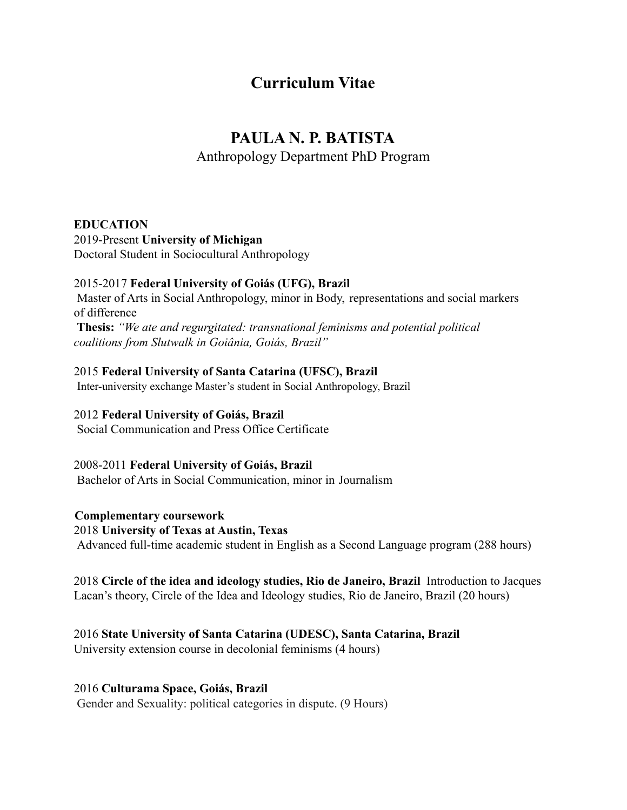# **Curriculum Vitae**

# **PAULA N. P. BATISTA**

Anthropology Department PhD Program

# **EDUCATION**

2019-Present **University of Michigan** Doctoral Student in Sociocultural Anthropology

# 2015-2017 **Federal University of Goiás (UFG), Brazil**

Master of Arts in Social Anthropology, minor in Body, representations and social markers of difference

**Thesis:** *"We ate and regurgitated: transnational feminisms and potential political coalitions from Slutwalk in Goiânia, Goiás, Brazil"*

# 2015 **Federal University of Santa Catarina (UFSC), Brazil**

Inter-university exchange Master's student in Social Anthropology, Brazil

# 2012 **Federal University of Goiás, Brazil**

Social Communication and Press Office Certificate

# 2008-2011 **Federal University of Goiás, Brazil**

Bachelor of Arts in Social Communication, minor in Journalism

**Complementary coursework** 2018 **University of Texas at Austin, Texas** Advanced full-time academic student in English as a Second Language program (288 hours)

2018 **Circle of the idea and ideology studies, Rio de Janeiro, Brazil** Introduction to Jacques Lacan's theory, Circle of the Idea and Ideology studies, Rio de Janeiro, Brazil (20 hours)

2016 **State University of Santa Catarina (UDESC), Santa Catarina, Brazil** University extension course in decolonial feminisms (4 hours)

# 2016 **Culturama Space, Goiás, Brazil**

Gender and Sexuality: political categories in dispute. (9 Hours)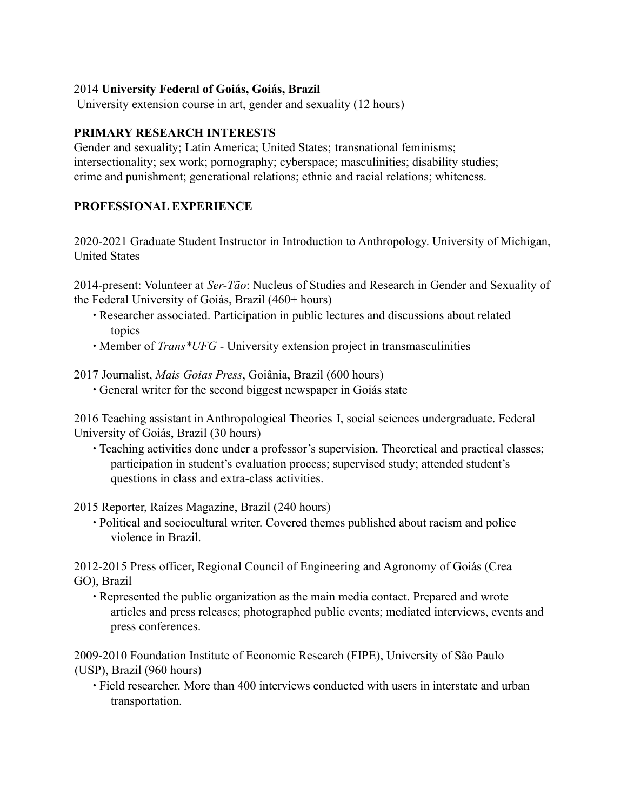# 2014 **University Federal of Goiás, Goiás, Brazil**

University extension course in art, gender and sexuality (12 hours)

## **PRIMARY RESEARCH INTERESTS**

Gender and sexuality; Latin America; United States; transnational feminisms; intersectionality; sex work; pornography; cyberspace; masculinities; disability studies; crime and punishment; generational relations; ethnic and racial relations; whiteness.

# **PROFESSIONAL EXPERIENCE**

2020-2021 Graduate Student Instructor in Introduction to Anthropology. University of Michigan, United States

2014-present: Volunteer at *Ser-Tão*: Nucleus of Studies and Research in Gender and Sexuality of the Federal University of Goiás, Brazil (460+ hours)

- ∙ Researcher associated. Participation in public lectures and discussions about related topics
- ∙ Member of *Trans\*UFG* University extension project in transmasculinities

## 2017 Journalist, *Mais Goias Press*, Goiânia, Brazil (600 hours)

∙ General writer for the second biggest newspaper in Goiás state

2016 Teaching assistant in Anthropological Theories I, social sciences undergraduate. Federal University of Goiás, Brazil (30 hours)

• Teaching activities done under a professor's supervision. Theoretical and practical classes; participation in student's evaluation process; supervised study; attended student's questions in class and extra-class activities.

2015 Reporter, Raízes Magazine, Brazil (240 hours)

∙ Political and sociocultural writer. Covered themes published about racism and police violence in Brazil.

2012-2015 Press officer, Regional Council of Engineering and Agronomy of Goiás (Crea GO), Brazil

∙ Represented the public organization as the main media contact. Prepared and wrote articles and press releases; photographed public events; mediated interviews, events and press conferences.

2009-2010 Foundation Institute of Economic Research (FIPE), University of São Paulo (USP), Brazil (960 hours)

∙ Field researcher. More than 400 interviews conducted with users in interstate and urban transportation.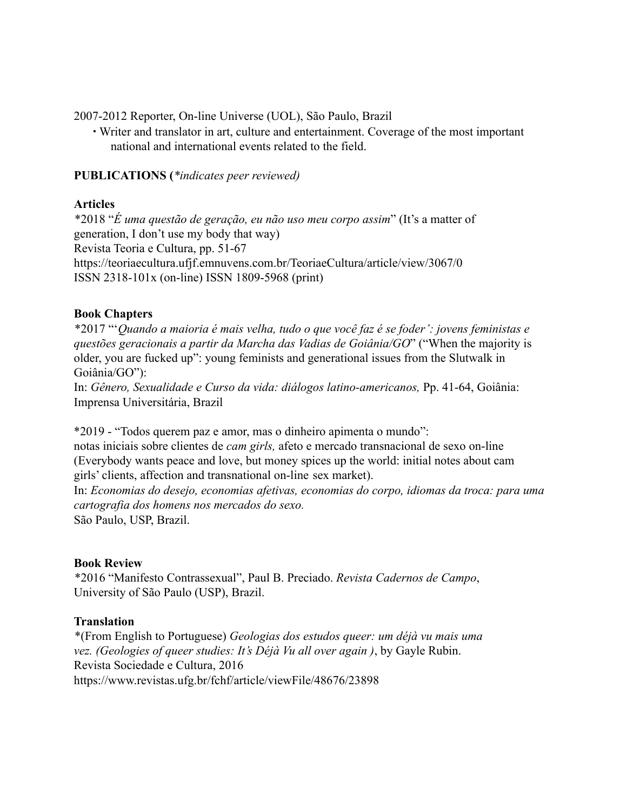2007-2012 Reporter, On-line Universe (UOL), São Paulo, Brazil

∙ Writer and translator in art, culture and entertainment. Coverage of the most important national and international events related to the field.

# **PUBLICATIONS (***\*indicates peer reviewed)*

## **Articles**

\*2018 "*É uma questão de geração, eu não uso meu corpo assim*" (It's a matter of generation, I don't use my body that way) Revista Teoria e Cultura, pp. 51-67 https://teoriaecultura.ufjf.emnuvens.com.br/TeoriaeCultura/article/view/3067/0 ISSN 2318-101x (on-line) ISSN 1809-5968 (print)

## **Book Chapters**

\*2017 "'*Quando a maioria é mais velha, tudo o que você faz é se foder': jovens feministas e questões geracionais a partir da Marcha das Vadias de Goiânia/GO*" ("When the majority is older, you are fucked up": young feminists and generational issues from the Slutwalk in Goiânia/GO"):

In: *Gênero, Sexualidade e Curso da vida: diálogos latino-americanos,* Pp. 41-64, Goiânia: Imprensa Universitária, Brazil

\*2019 - "Todos querem paz e amor, mas o dinheiro apimenta o mundo":

notas iniciais sobre clientes de *cam girls,* afeto e mercado transnacional de sexo on-line (Everybody wants peace and love, but money spices up the world: initial notes about cam girls' clients, affection and transnational on-line sex market).

In: *Economias do desejo, economias afetivas, economias do corpo, idiomas da troca: para uma cartografia dos homens nos mercados do sexo.*

São Paulo, USP, Brazil.

#### **Book Review**

\*2016 "Manifesto Contrassexual", Paul B. Preciado. *Revista Cadernos de Campo*, University of São Paulo (USP), Brazil.

#### **Translation**

\*(From English to Portuguese) *Geologias dos estudos queer: um déjà vu mais uma vez. (Geologies of queer studies: It's Déjà Vu all over again )*, by Gayle Rubin. Revista Sociedade e Cultura, 2016 https://www.revistas.ufg.br/fchf/article/viewFile/48676/23898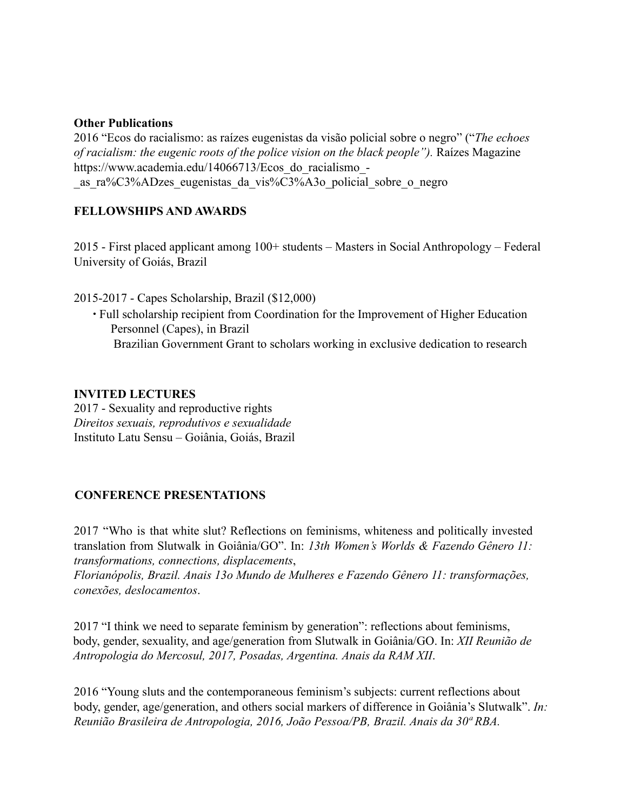#### **Other Publications**

2016 "Ecos do racialismo: as raízes eugenistas da visão policial sobre o negro" ("*The echoes of racialism: the eugenic roots of the police vision on the black people").* Raízes Magazine https://www.academia.edu/14066713/Ecos\_do\_racialismo\_- \_as\_ra%C3%ADzes\_eugenistas\_da\_vis%C3%A3o\_policial\_sobre\_o\_negro

# **FELLOWSHIPS AND AWARDS**

2015 - First placed applicant among 100+ students – Masters in Social Anthropology – Federal University of Goiás, Brazil

2015-2017 - Capes Scholarship, Brazil (\$12,000)

∙ Full scholarship recipient from Coordination for the Improvement of Higher Education Personnel (Capes), in Brazil Brazilian Government Grant to scholars working in exclusive dedication to research

## **INVITED LECTURES**

2017 - Sexuality and reproductive rights *Direitos sexuais, reprodutivos e sexualidade* Instituto Latu Sensu – Goiânia, Goiás, Brazil

# **CONFERENCE PRESENTATIONS**

2017 "Who is that white slut? Reflections on feminisms, whiteness and politically invested translation from Slutwalk in Goiânia/GO". In: *13th Women's Worlds & Fazendo Gênero 11: transformations, connections, displacements*,

*Florianópolis, Brazil. Anais 13o Mundo de Mulheres e Fazendo Gênero 11: transformações, conexões, deslocamentos*.

2017 "I think we need to separate feminism by generation": reflections about feminisms, body, gender, sexuality, and age/generation from Slutwalk in Goiânia/GO. In: *XII Reunião de Antropologia do Mercosul, 2017, Posadas, Argentina. Anais da RAM XII*.

2016 "Young sluts and the contemporaneous feminism's subjects: current reflections about body, gender, age/generation, and others social markers of difference in Goiânia's Slutwalk". *In: Reunião Brasileira de Antropologia, 2016, João Pessoa/PB, Brazil. Anais da 30ª RBA.*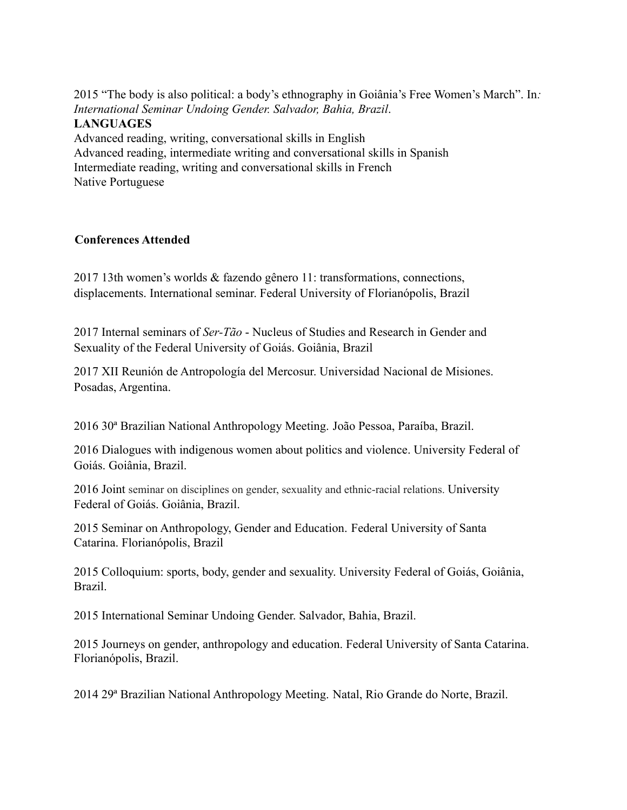2015 "The body is also political: a body's ethnography in Goiânia's Free Women's March". In*: International Seminar Undoing Gender. Salvador, Bahia, Brazil*. **LANGUAGES** Advanced reading, writing, conversational skills in English Advanced reading, intermediate writing and conversational skills in Spanish

Intermediate reading, writing and conversational skills in French Native Portuguese

## **Conferences Attended**

2017 13th women's worlds & fazendo gênero 11: transformations, connections, displacements. International seminar. Federal University of Florianópolis, Brazil

2017 Internal seminars of *Ser-Tão* - Nucleus of Studies and Research in Gender and Sexuality of the Federal University of Goiás. Goiânia, Brazil

2017 XII Reunión de Antropología del Mercosur. Universidad Nacional de Misiones. Posadas, Argentina.

2016 30ª Brazilian National Anthropology Meeting. João Pessoa, Paraíba, Brazil.

2016 Dialogues with indigenous women about politics and violence. University Federal of Goiás. Goiânia, Brazil.

2016 Joint seminar on disciplines on gender, sexuality and ethnic-racial relations. University Federal of Goiás. Goiânia, Brazil.

2015 Seminar on Anthropology, Gender and Education. Federal University of Santa Catarina. Florianópolis, Brazil

2015 Colloquium: sports, body, gender and sexuality. University Federal of Goiás, Goiânia, Brazil.

2015 International Seminar Undoing Gender. Salvador, Bahia, Brazil.

2015 Journeys on gender, anthropology and education. Federal University of Santa Catarina. Florianópolis, Brazil.

2014 29ª Brazilian National Anthropology Meeting. Natal, Rio Grande do Norte, Brazil.